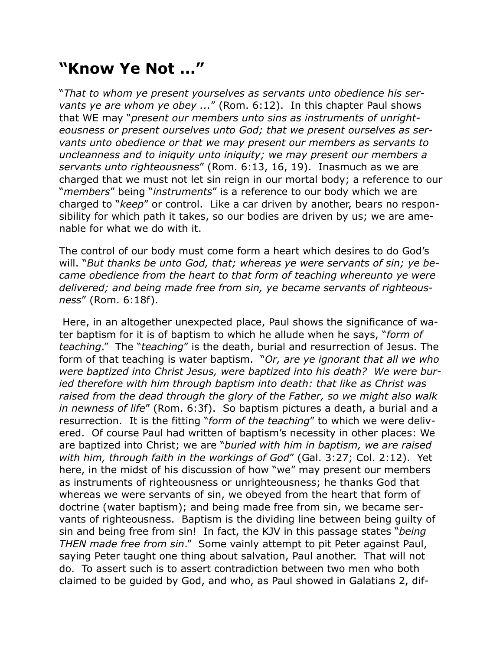## **"Know Ye Not ..."**

"*That to whom ye present yourselves as servants unto obedience his servants ye are whom ye obey ...*" (Rom. 6:12). In this chapter Paul shows that WE may "*present our members unto sins as instruments of unrighteousness or present ourselves unto God; that we present ourselves as servants unto obedience or that we may present our members as servants to uncleanness and to iniquity unto iniquity; we may present our members a servants unto righteousness*" (Rom. 6:13, 16, 19). Inasmuch as we are charged that we must not let sin reign in our mortal body; a reference to our "*members*" being "*instruments*" is a reference to our body which we are charged to "*keep*" or control. Like a car driven by another, bears no responsibility for which path it takes, so our bodies are driven by us; we are amenable for what we do with it.

The control of our body must come form a heart which desires to do God's will. "*But thanks be unto God, that; whereas ye were servants of sin; ye became obedience from the heart to that form of teaching whereunto ye were delivered; and being made free from sin, ye became servants of righteousness*" (Rom. 6:18f).

 Here, in an altogether unexpected place, Paul shows the significance of water baptism for it is of baptism to which he allude when he says, "*form of teaching*." The "*teaching*" is the death, burial and resurrection of Jesus. The form of that teaching is water baptism. "*Or, are ye ignorant that all we who were baptized into Christ Jesus, were baptized into his death? We were buried therefore with him through baptism into death: that like as Christ was raised from the dead through the glory of the Father, so we might also walk in newness of life*" (Rom. 6:3f). So baptism pictures a death, a burial and a resurrection. It is the fitting "*form of the teaching*" to which we were delivered. Of course Paul had written of baptism's necessity in other places: We are baptized into Christ; we are "*buried with him in baptism, we are raised with him, through faith in the workings of God*" (Gal. 3:27; Col. 2:12). Yet here, in the midst of his discussion of how "we" may present our members as instruments of righteousness or unrighteousness; he thanks God that whereas we were servants of sin, we obeyed from the heart that form of doctrine (water baptism); and being made free from sin, we became servants of righteousness. Baptism is the dividing line between being guilty of sin and being free from sin! In fact, the KJV in this passage states "*being THEN made free from sin*." Some vainly attempt to pit Peter against Paul, saying Peter taught one thing about salvation, Paul another. That will not do. To assert such is to assert contradiction between two men who both claimed to be guided by God, and who, as Paul showed in Galatians 2, dif-